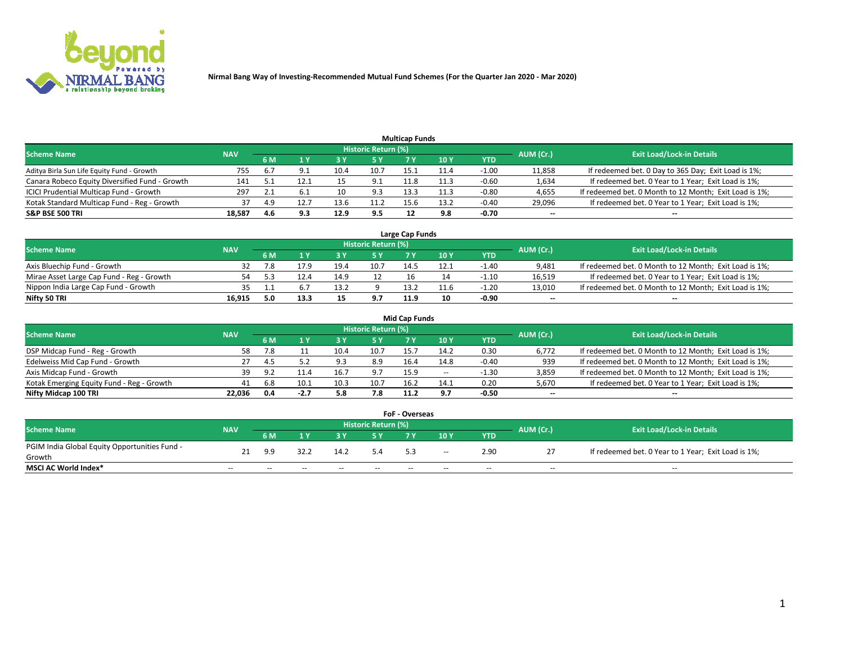

|                                                |            |     |      |      |                     | <b>Multicap Funds</b> |      |         |                          |                                                        |
|------------------------------------------------|------------|-----|------|------|---------------------|-----------------------|------|---------|--------------------------|--------------------------------------------------------|
| Scheme Name                                    | <b>NAV</b> |     |      |      | Historic Return (%) |                       |      |         | AUM (Cr.)                | <b>Exit Load/Lock-in Details</b>                       |
|                                                |            | 6 M | 4 Y  |      | 5 Y                 |                       | 10 Y | YTD     |                          |                                                        |
| Aditya Birla Sun Life Equity Fund - Growth     | 755        | b.7 |      |      | 10.7                | 15.1                  |      | $-1.00$ | 11,858                   | If redeemed bet. 0 Day to 365 Day; Exit Load is 1%;    |
| Canara Robeco Equity Diversified Fund - Growth | 141        |     | 12.1 |      | 9.1                 | 11.8                  | 11.3 | $-0.60$ | 1,634                    | If redeemed bet. 0 Year to 1 Year; Exit Load is 1%;    |
| ICICI Prudential Multicap Fund - Growth        | 297        |     |      | 10   | 9.3                 | 13.3                  | 11.3 | $-0.80$ | 4,655                    | If redeemed bet. 0 Month to 12 Month; Exit Load is 1%; |
| Kotak Standard Multicap Fund - Reg - Growth    | 37         | 4.9 | 12.7 | 13.6 | 11.2                | 15.6                  | 13.2 | $-0.40$ | 29,096                   | If redeemed bet. 0 Year to 1 Year; Exit Load is 1%;    |
| <b>S&amp;P BSE 500 TRI</b>                     | 18,587     | 4.6 | 9.3  | 12.9 | 9.5                 |                       | 9.8  | $-0.70$ | $\overline{\phantom{a}}$ | $-$                                                    |

| Large Cap Funds                           |            |     |      |      |                     |      |      |         |           |                                                        |  |  |  |  |
|-------------------------------------------|------------|-----|------|------|---------------------|------|------|---------|-----------|--------------------------------------------------------|--|--|--|--|
| Scheme Name                               | <b>NAV</b> |     |      |      | Historic Return (%) |      |      |         | AUM (Cr.) | <b>Exit Load/Lock-in Details</b>                       |  |  |  |  |
|                                           |            | 6 M |      |      | 5 Y                 |      | 10Y  | YTD     |           |                                                        |  |  |  |  |
| Axis Bluechip Fund - Growth               |            |     | 17.9 | 19.4 | 10.7                | 14.5 |      | $-1.40$ | 9,481     | If redeemed bet. 0 Month to 12 Month; Exit Load is 1%; |  |  |  |  |
| Mirae Asset Large Cap Fund - Reg - Growth | 54         |     | 12.4 | 14.9 |                     |      |      | $-1.10$ | 16,519    | If redeemed bet. 0 Year to 1 Year; Exit Load is 1%;    |  |  |  |  |
| Nippon India Large Cap Fund - Growth      |            |     |      |      |                     | 13.2 | 11.6 | $-1.20$ | 13,010    | If redeemed bet. 0 Month to 12 Month; Exit Load is 1%; |  |  |  |  |
| Nifty 50 TRI                              | 16.915     | 0.د | 13.3 |      | 9.7                 | 11.9 |      | $-0.90$ | $\sim$    | $\sim$                                                 |  |  |  |  |

|                                           |            |     |        |      |                     | <b>Mid Cap Funds</b> |                 |            |           |                                                        |
|-------------------------------------------|------------|-----|--------|------|---------------------|----------------------|-----------------|------------|-----------|--------------------------------------------------------|
| <b>Scheme Name</b>                        | <b>NAV</b> |     |        |      | Historic Return (%) |                      |                 |            | AUM (Cr.) | <b>Exit Load/Lock-in Details</b>                       |
|                                           |            | 6 M |        |      |                     |                      | 10 <sub>Y</sub> | <b>YTD</b> |           |                                                        |
| DSP Midcap Fund - Reg - Growth            | 58         |     |        | 10.4 | 10.7                | 15.7                 | 14.2            | 0.30       | 6,772     | If redeemed bet. 0 Month to 12 Month; Exit Load is 1%; |
| Edelweiss Mid Cap Fund - Growth           |            |     |        | 9.3  | 8.9                 | 16.4                 | 14.8            | $-0.40$    | 939       | If redeemed bet. 0 Month to 12 Month; Exit Load is 1%; |
| Axis Midcap Fund - Growth                 | 39         | Ω.  |        | 16.7 | 9.7                 | 15.9                 | $\sim$          | -1.30      | 3,859     | If redeemed bet. 0 Month to 12 Month; Exit Load is 1%; |
| Kotak Emerging Equity Fund - Reg - Growth | 41         | 6.8 | 10.1   | 10.3 | 10.7                | 16.2                 | 14.1            | 0.20       | 5,670     | If redeemed bet. 0 Year to 1 Year; Exit Load is 1%;    |
| Nifty Midcap 100 TRI                      | 22.036     | 0.4 | $-2.7$ | 5.8  | 7.8                 | 11.2                 | 9.7             | $-0.50$    | $\sim$    | $- -$                                                  |

| <b>FoF - Overseas</b>                         |            |       |       |       |                            |     |        |            |           |                                                     |  |  |  |
|-----------------------------------------------|------------|-------|-------|-------|----------------------------|-----|--------|------------|-----------|-----------------------------------------------------|--|--|--|
| <b>Scheme Name</b>                            | <b>NAV</b> |       |       |       | <b>Historic Return (%)</b> |     |        |            | AUM (Cr.) | <b>Exit Load/Lock-in Details</b>                    |  |  |  |
|                                               |            | 6 M   |       |       |                            |     | 10Y    | <b>YTD</b> |           |                                                     |  |  |  |
| PGIM India Global Equity Opportunities Fund - | 21         | 9.9   | 32.2  | 14.2  | 5.4                        |     | $\sim$ | 2.90       |           | If redeemed bet. 0 Year to 1 Year; Exit Load is 1%; |  |  |  |
| Growth                                        |            |       |       |       |                            | 5.3 |        |            |           |                                                     |  |  |  |
| <b>MSCI AC World Index*</b>                   | $- -$      | $- -$ | $- -$ | $- -$ | $- -$                      | --  | $- -$  | $- -$      | $- -$     | $- -$                                               |  |  |  |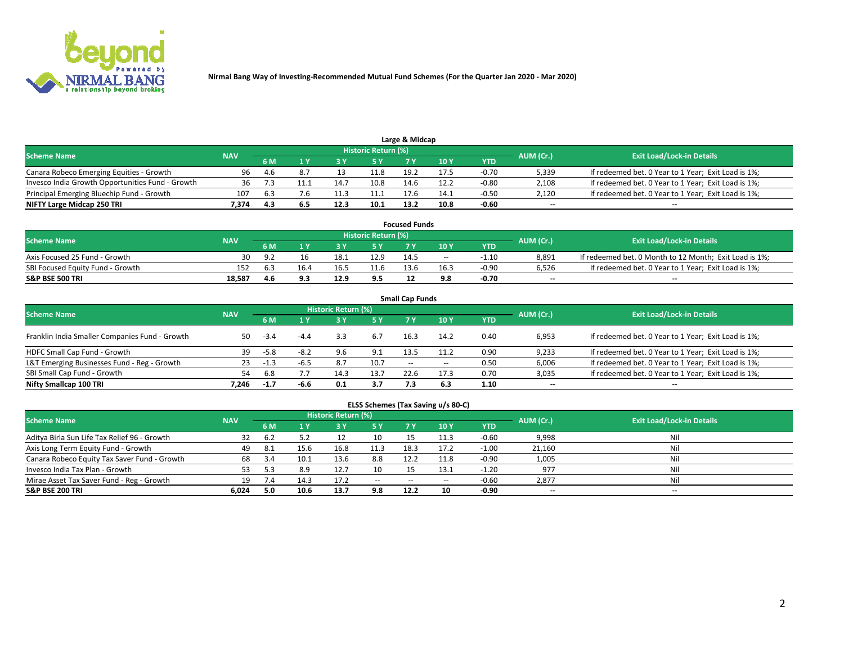

|                                                  | Large & Midcap<br>Historic Return (%) |     |     |      |      |      |      |         |                          |                                                     |  |  |  |  |  |
|--------------------------------------------------|---------------------------------------|-----|-----|------|------|------|------|---------|--------------------------|-----------------------------------------------------|--|--|--|--|--|
| <b>Scheme Name</b>                               | <b>NAV</b>                            |     |     |      |      |      |      |         | AUM (Cr.)                | <b>Exit Load/Lock-in Details</b>                    |  |  |  |  |  |
|                                                  |                                       | 6 M |     |      | 5 Y  |      | 10Y  | YTD.    |                          |                                                     |  |  |  |  |  |
| Canara Robeco Emerging Equities - Growth         | 96                                    | 4.h | 8.7 |      | 11.8 | 19.2 | 17.5 | $-0.70$ | 5,339                    | If redeemed bet. 0 Year to 1 Year; Exit Load is 1%; |  |  |  |  |  |
| Invesco India Growth Opportunities Fund - Growth |                                       |     |     | 14.  | 10.8 | 14.6 | 12.2 | $-0.80$ | 2,108                    | If redeemed bet. 0 Year to 1 Year; Exit Load is 1%; |  |  |  |  |  |
| Principal Emerging Bluechip Fund - Growth        | 107                                   | 6.3 | 7.6 | 11.3 | 11.1 | 17.6 | 14.1 | $-0.50$ | 2,120                    | If redeemed bet. 0 Year to 1 Year; Exit Load is 1%; |  |  |  |  |  |
| NIFTY Large Midcap 250 TRI                       | 7.374                                 | 4.3 | 6.5 | 12.3 | 10.1 | 13.2 | 10.8 | $-0.60$ | $\overline{\phantom{a}}$ | $- -$                                               |  |  |  |  |  |

| <b>Focused Funds</b>             |            |     |      |  |                     |      |       |         |           |                                                        |  |  |  |
|----------------------------------|------------|-----|------|--|---------------------|------|-------|---------|-----------|--------------------------------------------------------|--|--|--|
| <b>Scheme Name</b>               | <b>NAV</b> |     |      |  | Historic Return (%) |      |       |         | AUM (Cr.) | <b>Exit Load/Lock-in Details</b>                       |  |  |  |
|                                  |            | 6 M |      |  |                     |      | 10 Y  | YTD     |           |                                                        |  |  |  |
| Axis Focused 25 Fund - Growth    | 30         | o.  |      |  | 12.9                | 14.5 | $- -$ | -1.10   | 8.891     | If redeemed bet. 0 Month to 12 Month; Exit Load is 1%; |  |  |  |
| SBI Focused Equity Fund - Growth |            |     | 16.4 |  |                     | 13.6 | 16.3  | $-0.90$ | 6.526     | If redeemed bet. 0 Year to 1 Year; Exit Load is 1%;    |  |  |  |
| <b>S&amp;P BSE 500 TRI</b>       | 18.587     | 4.6 |      |  | 9.5                 |      | 9.8   | $-0.70$ | $\sim$    | $- -$                                                  |  |  |  |

| <b>Small Cap Funds</b>                         |            |        |        |                     |      |               |        |      |           |                                                     |  |  |  |  |
|------------------------------------------------|------------|--------|--------|---------------------|------|---------------|--------|------|-----------|-----------------------------------------------------|--|--|--|--|
| <b>Scheme Name</b>                             | <b>NAV</b> |        |        | Historic Return (%) |      |               |        |      | AUM (Cr.) | <b>Exit Load/Lock-in Details</b>                    |  |  |  |  |
|                                                |            | 6 M    |        | 3Y                  | 5 Y  | 7 Y           | 10Y    | YTD  |           |                                                     |  |  |  |  |
| Franklin India Smaller Companies Fund - Growth | 50         | $-3.4$ |        |                     | 6.7  | 16.3          | 14.2   | 0.40 | 6,953     | If redeemed bet. 0 Year to 1 Year; Exit Load is 1%; |  |  |  |  |
| HDFC Small Cap Fund - Growth                   | 39         | $-5.8$ | $-8.2$ | 9.6                 | 9.1  | 13.5          | 11.2   | 0.90 | 9,233     | If redeemed bet. 0 Year to 1 Year; Exit Load is 1%; |  |  |  |  |
| L&T Emerging Businesses Fund - Reg - Growth    | 23         | -1.3   | -6.5   | 8.7                 | 10.7 | $\sim$ $\sim$ | $\sim$ | 0.50 | 6,006     | If redeemed bet. 0 Year to 1 Year; Exit Load is 1%; |  |  |  |  |
| SBI Small Cap Fund - Growth                    | 54         | 6.8    |        | 14.3                | 13.7 | 22.6          | 17.3   | 0.70 | 3,035     | If redeemed bet. 0 Year to 1 Year; Exit Load is 1%; |  |  |  |  |
| Nifty Smallcap 100 TRI                         | 7.246      | $-1.7$ | -6.6   | 0.1                 | 3.7  |               | 6.3    | 1.10 | $\sim$    | $- -$                                               |  |  |  |  |

## **ELSS Schemes (Tax Saving u/s 80-C)**

| <b>Scheme Name</b>                           | <b>NAV</b> |      |      | <b>Historic Return (%)</b> |           |      |      |         | AUM (Cr.) | <b>Exit Load/Lock-in Details</b> |
|----------------------------------------------|------------|------|------|----------------------------|-----------|------|------|---------|-----------|----------------------------------|
|                                              |            | 6 M  | 1 Y  | 3 Y                        | <b>5Y</b> | 7 Y  | 10Y  | YTD     |           |                                  |
| Aditya Birla Sun Life Tax Relief 96 - Growth | 32         | b.2  |      |                            | 10        |      |      | $-0.60$ | 9,998     | Nil                              |
| Axis Long Term Equity Fund - Growth          | 49         | -8.1 | 15.6 | 16.8                       | 11.3      | 18.3 | 17.2 | $-1.00$ | 21,160    | Nil                              |
| Canara Robeco Equity Tax Saver Fund - Growth | 68         | -3.4 | 10.1 | 13.6                       | 8.8       | 12.2 | 11.8 | $-0.90$ | 1,005     | Nil                              |
| Invesco India Tax Plan - Growth              | 53         |      | 8.9  |                            | 10        |      | 13.1 | $-1.20$ | 977       | Nil                              |
| Mirae Asset Tax Saver Fund - Reg - Growth    | 19         |      |      | 17.2                       | $- -$     | --   |      | $-0.60$ | 2,877     | Nil                              |
| S&P BSE 200 TRI                              | 6,024      | 5.0  | 10.6 | 13.7                       | 9.8       | 12.2 | 10   | $-0.90$ | $-$       | $- -$                            |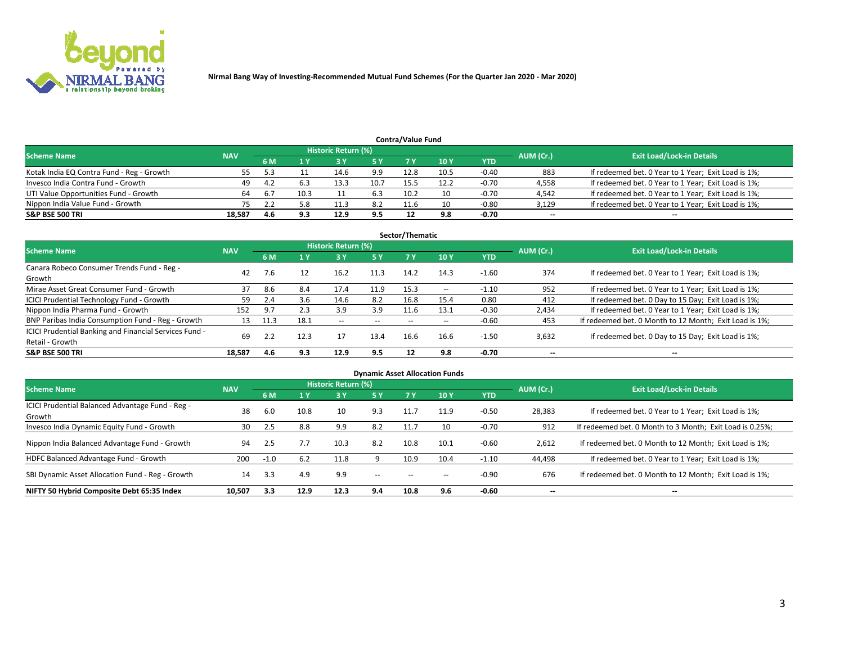

| <b>Contra/Value Fund</b><br>Historic Return (%) |            |      |      |      |      |      |      |         |           |                                                     |  |  |  |
|-------------------------------------------------|------------|------|------|------|------|------|------|---------|-----------|-----------------------------------------------------|--|--|--|
| <b>Scheme Name</b>                              | <b>NAV</b> | 6 M  |      |      | 5 Y  | 7 Y  | 10Y  | YTD     | AUM (Cr.) | <b>Exit Load/Lock-in Details</b>                    |  |  |  |
| Kotak India EQ Contra Fund - Reg - Growth       |            |      |      |      | 9.9  | 12.8 | 10.5 | $-0.40$ | 883       | If redeemed bet. 0 Year to 1 Year; Exit Load is 1%; |  |  |  |
| Invesco India Contra Fund - Growth              | 49         | -4.7 |      | 13.3 | 10.7 | 15.5 | 12.2 | $-0.70$ | 4,558     | If redeemed bet. 0 Year to 1 Year; Exit Load is 1%; |  |  |  |
| UTI Value Opportunities Fund - Growth           | 64         | 6.7  | 10.3 |      | 6.3  | 10.2 |      | $-0.70$ | 4,542     | If redeemed bet. 0 Year to 1 Year; Exit Load is 1%; |  |  |  |
| Nippon India Value Fund - Growth                |            |      | 5.8  |      | 8.2  | 11.6 |      | $-0.80$ | 3,129     | If redeemed bet. 0 Year to 1 Year; Exit Load is 1%; |  |  |  |
| <b>S&amp;P BSE 500 TRI</b>                      | 18.587     | 4.6  | 9.3  | 12.9 | 9.5  |      | 9.8  | $-0.70$ | $\sim$    | $- -$                                               |  |  |  |

|                                                                           |            |      |      |                     |           | Sector/Thematic |                          |            |                          |                                                        |
|---------------------------------------------------------------------------|------------|------|------|---------------------|-----------|-----------------|--------------------------|------------|--------------------------|--------------------------------------------------------|
| <b>Scheme Name</b>                                                        | <b>NAV</b> |      |      | Historic Return (%) |           |                 |                          |            | AUM (Cr.)                | <b>Exit Load/Lock-in Details</b>                       |
|                                                                           |            | 6 M  | 1 Y  | 73 Y                | <b>5Y</b> | 7 Y             | 10Y                      | <b>YTD</b> |                          |                                                        |
| Canara Robeco Consumer Trends Fund - Reg -<br>Growth                      | 42         |      | 12   | 16.2                | 11.3      | 14.2            | 14.3                     | $-1.60$    | 374                      | If redeemed bet. 0 Year to 1 Year; Exit Load is 1%;    |
| Mirae Asset Great Consumer Fund - Growth                                  | 37         | 8.6  | 8.4  | 17.4                | 11.9      | 15.3            | $\overline{\phantom{a}}$ | $-1.10$    | 952                      | If redeemed bet. 0 Year to 1 Year; Exit Load is 1%;    |
| ICICI Prudential Technology Fund - Growth                                 | 59         | 2.4  | 3.6  | 14.6                | 8.2       | 16.8            | 15.4                     | 0.80       | 412                      | If redeemed bet. 0 Day to 15 Day; Exit Load is 1%;     |
| Nippon India Pharma Fund - Growth                                         | 152        | 9.7  | 2.3  | 3.9                 | 3.9       | 11.6            | 13.1                     | $-0.30$    | 2,434                    | If redeemed bet. 0 Year to 1 Year; Exit Load is 1%;    |
| BNP Paribas India Consumption Fund - Reg - Growth                         | 13         | 11.3 | 18.1 | $\sim$              | $- -$     | $- -$           | $- -$                    | $-0.60$    | 453                      | If redeemed bet. 0 Month to 12 Month; Exit Load is 1%; |
| ICICI Prudential Banking and Financial Services Fund -<br>Retail - Growth | 69         |      | 12.3 | 17                  | 13.4      | 16.6            | 16.6                     | $-1.50$    | 3,632                    | If redeemed bet. 0 Day to 15 Day; Exit Load is 1%;     |
| <b>S&amp;P BSE 500 TRI</b>                                                | 18.587     | 4.6  | 9.3  | 12.9                | 9.5       |                 | 9.8                      | $-0.70$    | $\overline{\phantom{a}}$ | $\overline{\phantom{a}}$                               |

|                                                            |            |        |      |                     |               |                          | <b>Dynamic Asset Allocation Funds</b> |            |           |                                                          |
|------------------------------------------------------------|------------|--------|------|---------------------|---------------|--------------------------|---------------------------------------|------------|-----------|----------------------------------------------------------|
| <b>Scheme Name</b>                                         | <b>NAV</b> |        |      | Historic Return (%) |               |                          |                                       |            |           | <b>Exit Load/Lock-in Details</b>                         |
|                                                            |            | 6 M    |      | 3 Y                 | 5 Y           | 7 Y                      | 10 <sub>Y</sub>                       | <b>YTD</b> | AUM (Cr.) |                                                          |
| ICICI Prudential Balanced Advantage Fund - Reg -<br>Growth | 38         | 6.0    | 10.8 | 10                  | 9.3           | 11.7                     | 11.9                                  | $-0.50$    | 28,383    | If redeemed bet. 0 Year to 1 Year; Exit Load is 1%;      |
| Invesco India Dynamic Equity Fund - Growth                 | 30         | 2.5    | 8.8  | 9.9                 | 8.2           | 11.7                     | 10                                    | $-0.70$    | 912       | If redeemed bet. 0 Month to 3 Month; Exit Load is 0.25%; |
| Nippon India Balanced Advantage Fund - Growth              | 94         | 2.5    |      | 10.3                | 8.2           | 10.8                     | 10.1                                  | $-0.60$    | 2,612     | If redeemed bet. 0 Month to 12 Month; Exit Load is 1%;   |
| HDFC Balanced Advantage Fund - Growth                      | 200        | $-1.0$ | 6.2  | 11.8                |               | 10.9                     | 10.4                                  | $-1.10$    | 44,498    | If redeemed bet. 0 Year to 1 Year; Exit Load is 1%;      |
| SBI Dynamic Asset Allocation Fund - Reg - Growth           | 14         | 3.3    | 4.9  | 9.9                 | $\sim$ $\sim$ | $\overline{\phantom{a}}$ | $- -$                                 | $-0.90$    | 676       | If redeemed bet. 0 Month to 12 Month; Exit Load is 1%;   |
| NIFTY 50 Hybrid Composite Debt 65:35 Index                 | 10,507     | 3.3    | 12.9 | 12.3                | 9.4           | 10.8                     | 9.6                                   | $-0.60$    | $\sim$    | $\overline{\phantom{a}}$                                 |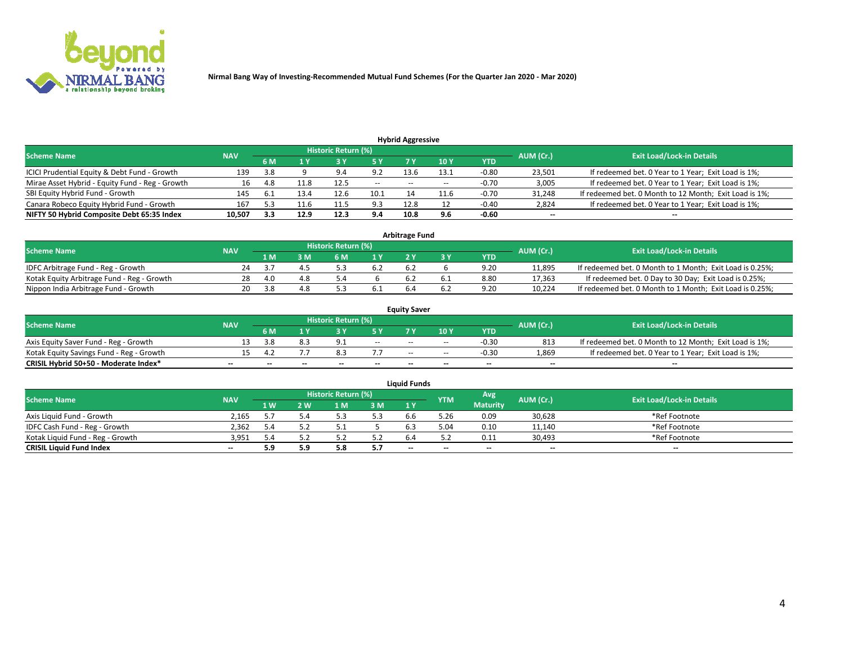

| <b>Hybrid Aggressive</b>                        |            |      |      |                            |        |                          |       |         |                          |                                                        |  |  |  |  |
|-------------------------------------------------|------------|------|------|----------------------------|--------|--------------------------|-------|---------|--------------------------|--------------------------------------------------------|--|--|--|--|
| <b>Scheme Name</b>                              | <b>NAV</b> |      |      | <b>Historic Return (%)</b> |        |                          |       |         | AUM (Cr.)                | <b>Exit Load/Lock-in Details</b>                       |  |  |  |  |
|                                                 |            | 6 M  |      |                            |        |                          | 10Y   | YTD     |                          |                                                        |  |  |  |  |
| ICICI Prudential Equity & Debt Fund - Growth    | 139        | 3.8  |      | 9.4                        | 9.2    | 13.6                     | 13.1  | $-0.80$ | 23,501                   | If redeemed bet. 0 Year to 1 Year; Exit Load is 1%;    |  |  |  |  |
| Mirae Asset Hybrid - Equity Fund - Reg - Growth | 16         | -4.8 |      | 12.5                       | $\sim$ | $\overline{\phantom{a}}$ | $- -$ | $-0.70$ | 3,005                    | If redeemed bet. 0 Year to 1 Year; Exit Load is 1%;    |  |  |  |  |
| SBI Equity Hybrid Fund - Growth                 | 145        |      | 13.4 | 12.6                       | 10.1   |                          | 11.F  | $-0.70$ | 31,248                   | If redeemed bet. 0 Month to 12 Month; Exit Load is 1%; |  |  |  |  |
| Canara Robeco Equity Hybrid Fund - Growth       | 167        | 52   | 11.0 | 11.5                       | 9.3    | 12.8                     |       | $-0.40$ | 2,824                    | If redeemed bet. 0 Year to 1 Year; Exit Load is 1%;    |  |  |  |  |
| NIFTY 50 Hybrid Composite Debt 65:35 Index      | 10,507     | 3.3  | 12.9 | 12.3                       | 9.4    | 10.8                     | 9.6   | $-0.60$ | $\overline{\phantom{a}}$ | $- -$                                                  |  |  |  |  |

|                                            |            |           |                                  |                | Arbitrage Fund |            |        |                                                          |
|--------------------------------------------|------------|-----------|----------------------------------|----------------|----------------|------------|--------|----------------------------------------------------------|
| <b>Scheme Name</b>                         | <b>NAV</b> | AUM (Cr.) | <b>Exit Load/Lock-in Details</b> |                |                |            |        |                                                          |
|                                            |            | l M       | <b>M</b>                         | 1 <sub>V</sub> |                | <b>YTD</b> |        |                                                          |
| IDFC Arbitrage Fund - Reg - Growth         | 24         |           |                                  |                | 6.2            | 9.20       | 11,895 | If redeemed bet. 0 Month to 1 Month; Exit Load is 0.25%; |
| Kotak Equity Arbitrage Fund - Reg - Growth | 28         | 4.0       | 4.8                              |                | b.2            | 8.80       | 17,363 | If redeemed bet. 0 Day to 30 Day; Exit Load is 0.25%;    |
| Nippon India Arbitrage Fund - Growth       | 20         | - 38      | 4.8                              |                |                | 9.20       | 10.224 | If redeemed bet. 0 Month to 1 Month; Exit Load is 0.25%; |

|                                          |            |           |                                  |                          |                          | <b>Equity Saver</b> |               |            |                          |                                                        |
|------------------------------------------|------------|-----------|----------------------------------|--------------------------|--------------------------|---------------------|---------------|------------|--------------------------|--------------------------------------------------------|
| Scheme Name                              | <b>NAV</b> | AUM (Cr.) | <b>Exit Load/Lock-in Details</b> |                          |                          |                     |               |            |                          |                                                        |
|                                          |            | 6 M       |                                  |                          | 5 Y                      |                     | $\sqrt{10}$ Y | <b>YTD</b> |                          |                                                        |
| Axis Equity Saver Fund - Reg - Growth    |            | 3.8       |                                  | $\Omega$                 | $\sim$                   | $- -$               | $- -$         | $-0.30$    | 813                      | If redeemed bet. 0 Month to 12 Month; Exit Load is 1%; |
| Kotak Equity Savings Fund - Reg - Growth |            |           |                                  | 0.3                      |                          | $\sim$ $\sim$       | $- -$         | $-0.30$    | 1,869                    | If redeemed bet. 0 Year to 1 Year; Exit Load is 1%;    |
| CRISIL Hybrid 50+50 - Moderate Index*    |            | $-$       | $-$                              | $\overline{\phantom{a}}$ | $\overline{\phantom{a}}$ | $\sim$              | --            | $\sim$     | $\overline{\phantom{a}}$ | $- -$                                                  |

| <b>Liquid Funds</b>              |            |      |     |                            |     |        |            |                 |           |                                  |  |  |  |
|----------------------------------|------------|------|-----|----------------------------|-----|--------|------------|-----------------|-----------|----------------------------------|--|--|--|
| <b>Scheme Name</b>               | <b>NAV</b> |      |     | <b>Historic Return (%)</b> |     |        | <b>YTM</b> | Avg             | AUM (Cr.) | <b>Exit Load/Lock-in Details</b> |  |  |  |
|                                  |            | 1 W. | 2 W | l M                        | 3M  | 1Y     |            | <b>Maturity</b> |           |                                  |  |  |  |
| Axis Liquid Fund - Growth        | 2.165      |      |     |                            | 5.3 | b.b    | 5.26       | 0.09            | 30,628    | *Ref Footnote                    |  |  |  |
| IDFC Cash Fund - Reg - Growth    | 2.362      | 5.4  |     |                            |     |        | 5.04       | 0.10            | 11,140    | *Ref Footnote                    |  |  |  |
| Kotak Liguid Fund - Reg - Growth | 3,951      |      |     |                            | ے.ر |        |            | 0.11            | 30,493    | *Ref Footnote                    |  |  |  |
| <b>CRISIL Liquid Fund Index</b>  | $\sim$     | 5.9  | 5.9 |                            | 5.7 | $\sim$ | $-$        | $-$             | $\sim$    | $\overline{\phantom{a}}$         |  |  |  |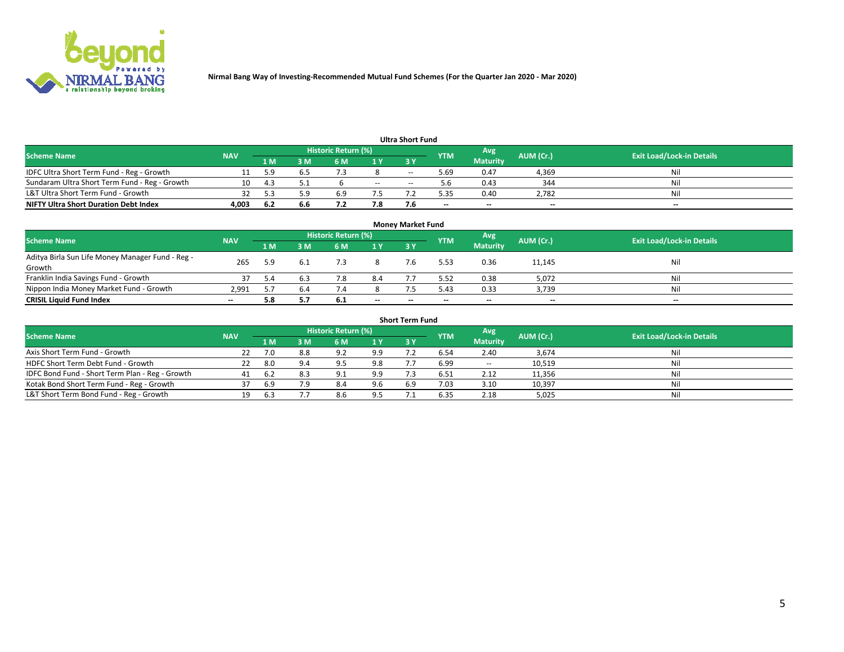

| <b>Ultra Short Fund</b>                       |            |              |     |                     |        |            |            |                 |           |                                  |  |  |  |
|-----------------------------------------------|------------|--------------|-----|---------------------|--------|------------|------------|-----------------|-----------|----------------------------------|--|--|--|
| <b>Scheme Name</b>                            | <b>NAV</b> |              |     | Historic Return (%) |        |            | <b>YTM</b> | Avg             | AUM (Cr.) | <b>Exit Load/Lock-in Details</b> |  |  |  |
|                                               |            | 1 M          | 3 M | 6 M                 | 1 Y    | <b>3 Y</b> |            | <b>Maturity</b> |           |                                  |  |  |  |
| IDFC Ultra Short Term Fund - Reg - Growth     |            | 5 Q          |     |                     |        | $-$        | ۔ 69. ذ    | 0.47            | 4,369     | Nil                              |  |  |  |
| Sundaram Ultra Short Term Fund - Reg - Growth |            | $\mathbf{A}$ |     |                     | $\sim$ | --         | 5.b        | 0.43            | 344       | Nil                              |  |  |  |
| L&T Ultra Short Term Fund - Growth            |            |              | ۰۵. | 6.9                 |        |            | 5.35       | 0.40            | 2,782     | Nil                              |  |  |  |
| <b>NIFTY Ultra Short Duration Debt Index</b>  | 4,003      | -6.2         | 6.6 |                     | 7.8    |            | --         | $-$             | $\sim$    | $- -$                            |  |  |  |

| <b>Money Market Fund</b>                                   |            |     |     |                     |     |    |            |                 |           |                                  |  |  |  |
|------------------------------------------------------------|------------|-----|-----|---------------------|-----|----|------------|-----------------|-----------|----------------------------------|--|--|--|
| <b>Scheme Name</b>                                         | <b>NAV</b> |     |     | Historic Return (%) |     |    | <b>YTM</b> | 'Avg            | AUM (Cr.) | <b>Exit Load/Lock-in Details</b> |  |  |  |
|                                                            |            | 1 M | 3 M | 6 M                 | 1 Y | 3Y |            | <b>Maturity</b> |           |                                  |  |  |  |
| Aditya Birla Sun Life Money Manager Fund - Reg -<br>Growth | 265        | 5.9 |     |                     |     |    | 5.53       | 0.36            | 11,145    | Nil                              |  |  |  |
| Franklin India Savings Fund - Growth                       |            | 5.4 |     | 7.8                 | 8.4 |    | 5.52       | 0.38            | 5,072     | Nil                              |  |  |  |
| Nippon India Money Market Fund - Growth                    | 2.991      |     | 6.4 |                     |     |    | 5.43       | 0.33            | 3,739     | Nil                              |  |  |  |
| <b>CRISIL Liquid Fund Index</b>                            | $- -$      | 5.8 |     | 6.1                 | $-$ | -- | --         | $\sim$          | $\sim$    | $\sim$                           |  |  |  |

| <b>Short Term Fund</b>                          |            |      |     |                     |     |           |            |                 |           |                                  |  |  |  |  |
|-------------------------------------------------|------------|------|-----|---------------------|-----|-----------|------------|-----------------|-----------|----------------------------------|--|--|--|--|
| <b>Scheme Name</b>                              | <b>NAV</b> |      |     | Historic Return (%) |     |           | <b>YTM</b> | Avg             | AUM (Cr.) | <b>Exit Load/Lock-in Details</b> |  |  |  |  |
|                                                 |            | 1 M  | 3 M | 6 M                 | 1Y  | <b>3Y</b> |            | <b>Maturity</b> |           |                                  |  |  |  |  |
| Axis Short Term Fund - Growth                   |            |      | 8.8 | 9.2                 | 9.9 |           | 6.54       | 2.40            | 3,674     | Nil                              |  |  |  |  |
| HDFC Short Term Debt Fund - Growth              | 22         | -8.0 | 9.4 | Q                   | 9.8 |           | 6.99       | $\sim$          | 10,519    | Nil                              |  |  |  |  |
| IDFC Bond Fund - Short Term Plan - Reg - Growth | 41         |      | 8.3 | Q <sub>1</sub>      | 9.9 |           | 6.51       | 2.12            | 11,356    | Nil                              |  |  |  |  |
| Kotak Bond Short Term Fund - Reg - Growth       |            | 6.9  | 7.9 | 8.4                 | 9.6 | 6.9       | 7.03       | 3.10            | 10,397    | Nil                              |  |  |  |  |
| L&T Short Term Bond Fund - Reg - Growth         |            |      |     | 8.6                 | 9.5 |           | 6.35       | 2.18            | 5,025     | Nil                              |  |  |  |  |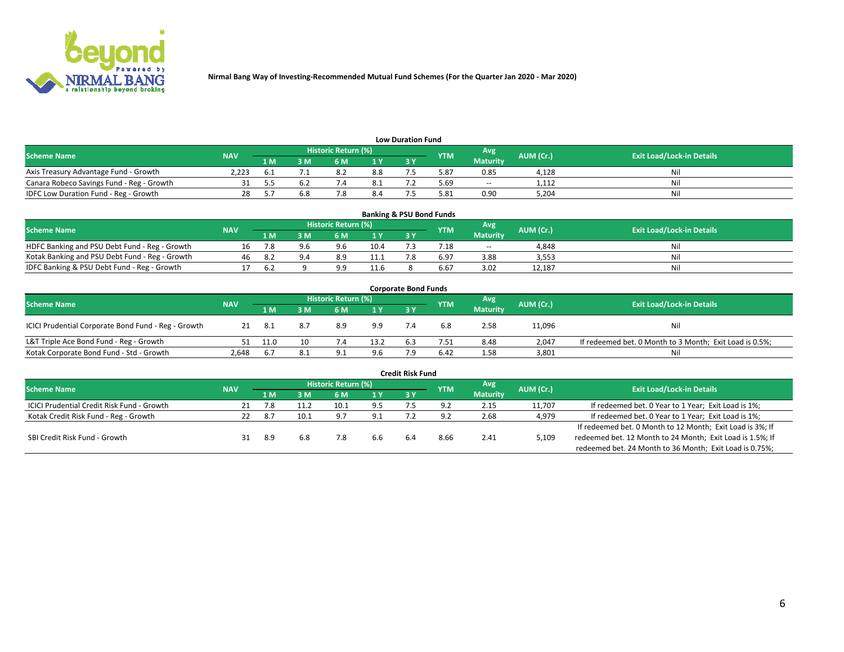

| <b>Low Duration Fund</b>                  |            |     |     |                            |      |  |            |                 |           |                                  |  |  |  |  |
|-------------------------------------------|------------|-----|-----|----------------------------|------|--|------------|-----------------|-----------|----------------------------------|--|--|--|--|
| <b>Scheme Name</b>                        | <b>NAV</b> |     |     | <b>Historic Return (%)</b> |      |  | <b>YTM</b> | Avg             | AUM (Cr.) | <b>Exit Load/Lock-in Details</b> |  |  |  |  |
|                                           |            | 1 M | ያ M | 5 M                        | 1 V  |  |            | <b>Maturity</b> |           |                                  |  |  |  |  |
| Axis Treasury Advantage Fund - Growth     | 2.223      |     |     | 8.2                        | 8.8  |  | 5.87       | 0.85            | 4,128     | Nil                              |  |  |  |  |
| Canara Robeco Savings Fund - Reg - Growth |            |     |     |                            | د. ک |  | 5.69       | $-$             | 1,112     | Nil                              |  |  |  |  |
| IDFC Low Duration Fund - Reg - Growth     |            |     | 6.8 |                            | 8.4  |  | 5.81       | 0.90            | 5,204     | Nil                              |  |  |  |  |

| <b>Banking &amp; PSU Bond Funds</b>            |            |      |     |                            |      |           |                 |                 |           |                                  |  |  |  |
|------------------------------------------------|------------|------|-----|----------------------------|------|-----------|-----------------|-----------------|-----------|----------------------------------|--|--|--|
| <b>Scheme Name</b>                             | <b>NAV</b> |      |     | <b>Historic Return (%)</b> |      |           | <b>YTM</b>      | Avg             | AUM (Cr.) | <b>Exit Load/Lock-in Details</b> |  |  |  |
|                                                |            | 1 M  | sм  | 6 M                        |      | <b>3Y</b> |                 | <b>Maturity</b> |           |                                  |  |  |  |
| HDFC Banking and PSU Debt Fund - Reg - Growth  |            |      | 9.6 | 9.6                        | 10.4 |           | $^{\prime}$ .18 | $\sim$ $\sim$   | 4,848     | Ni                               |  |  |  |
| Kotak Banking and PSU Debt Fund - Reg - Growth | 46         | -8.2 |     | 8.9                        | 11.1 |           | 6.97            | 3.88            | 3,553     | Ni                               |  |  |  |
| IDFC Banking & PSU Debt Fund - Reg - Growth    |            | h    |     | $\alpha$                   | 11.6 |           | 6.67            | 3.02            | 12.187    | Ni                               |  |  |  |

| <b>Corporate Bond Funds</b>                         |                                  |      |     |     |      |            |            |                 |           |                                                         |  |  |  |  |
|-----------------------------------------------------|----------------------------------|------|-----|-----|------|------------|------------|-----------------|-----------|---------------------------------------------------------|--|--|--|--|
| <b>Scheme Name</b>                                  | <b>Exit Load/Lock-in Details</b> |      |     |     |      |            |            |                 |           |                                                         |  |  |  |  |
|                                                     | <b>NAV</b>                       | 1 M  | 8 M | 6 M | 1 Y  | <b>3 Y</b> | <b>YTM</b> | <b>Maturity</b> | AUM (Cr.) |                                                         |  |  |  |  |
| ICICI Prudential Corporate Bond Fund - Reg - Growth |                                  | -8.1 | 8.7 | 8.9 | 9.9  |            | 6.8        | 2.58            | 11,096    | Nil                                                     |  |  |  |  |
| L&T Triple Ace Bond Fund - Reg - Growth             |                                  | 11.0 | 10  |     | 13.2 | 6.3        | 7.51       | 8.48            | 2,047     | If redeemed bet. 0 Month to 3 Month; Exit Load is 0.5%; |  |  |  |  |
| Kotak Corporate Bond Fund - Std - Growth            | 2,648                            | 6.7  | 8.1 | ۹۰  | 9.6  |            | 6.42       | 1.58            | 3,801     | Nil                                                     |  |  |  |  |

| <b>Credit Risk Fund</b>                    |            |      |      |                     |     |     |            |                 |           |                                                           |  |  |  |
|--------------------------------------------|------------|------|------|---------------------|-----|-----|------------|-----------------|-----------|-----------------------------------------------------------|--|--|--|
| <b>Scheme Name</b>                         | <b>NAV</b> |      |      | Historic Return (%) |     |     | <b>YTM</b> | Avg             | AUM (Cr.) | <b>Exit Load/Lock-in Details</b>                          |  |  |  |
|                                            |            | 1 M  | 3 M  | 6 M                 | 1 Y | 3Y  |            | <b>Maturity</b> |           |                                                           |  |  |  |
| ICICI Prudential Credit Risk Fund - Growth |            |      |      |                     | 9.5 |     |            | 2.15            | 11,707    | If redeemed bet. 0 Year to 1 Year; Exit Load is 1%;       |  |  |  |
| Kotak Credit Risk Fund - Reg - Growth      |            | -8.7 | 10.1 | . G                 | 9.1 |     |            | 2.68            | 4,979     | If redeemed bet. 0 Year to 1 Year; Exit Load is 1%;       |  |  |  |
|                                            |            |      |      |                     |     |     |            |                 |           | If redeemed bet. 0 Month to 12 Month; Exit Load is 3%; If |  |  |  |
| SBI Credit Risk Fund - Growth              |            | 8.9  | 6.8  |                     | 6.6 | 6.4 | 8.66       | 2.41            | 5,109     | redeemed bet. 12 Month to 24 Month; Exit Load is 1.5%; If |  |  |  |
|                                            |            |      |      |                     |     |     |            |                 |           | redeemed bet. 24 Month to 36 Month; Exit Load is 0.75%;   |  |  |  |